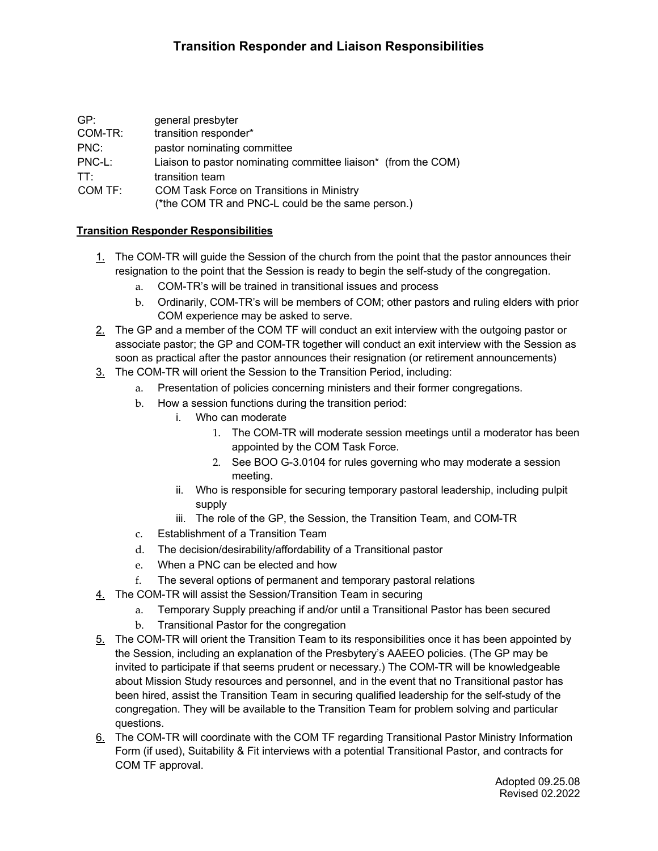## **Transition Responder and Liaison Responsibilities**

| GP:     | general presbyter                                              |
|---------|----------------------------------------------------------------|
| COM-TR: | transition responder*                                          |
| PNC:    | pastor nominating committee                                    |
| PNC-L:  | Liaison to pastor nominating committee liaison* (from the COM) |
| TT:     | transition team                                                |
| COM TF: | <b>COM Task Force on Transitions in Ministry</b>               |
|         | (*the COM TR and PNC-L could be the same person.)              |

## **Transition Responder Responsibilities**

- 1. The COM-TR will guide the Session of the church from the point that the pastor announces their resignation to the point that the Session is ready to begin the self-study of the congregation.
	- a. COM-TR's will be trained in transitional issues and process
	- b. Ordinarily, COM-TR's will be members of COM; other pastors and ruling elders with prior COM experience may be asked to serve.
- 2. The GP and a member of the COM TF will conduct an exit interview with the outgoing pastor or associate pastor; the GP and COM-TR together will conduct an exit interview with the Session as soon as practical after the pastor announces their resignation (or retirement announcements)
- 3. The COM-TR will orient the Session to the Transition Period, including:
	- a. Presentation of policies concerning ministers and their former congregations.
		- b. How a session functions during the transition period:
			- i. Who can moderate
				- 1. The COM-TR will moderate session meetings until a moderator has been appointed by the COM Task Force.
				- 2. See BOO G-3.0104 for rules governing who may moderate a session meeting.
			- ii. Who is responsible for securing temporary pastoral leadership, including pulpit supply
			- iii. The role of the GP, the Session, the Transition Team, and COM-TR
		- c. Establishment of a Transition Team
		- d. The decision/desirability/affordability of a Transitional pastor
		- e. When a PNC can be elected and how
		- f. The several options of permanent and temporary pastoral relations
- 4. The COM-TR will assist the Session/Transition Team in securing
	- a. Temporary Supply preaching if and/or until a Transitional Pastor has been secured
	- b. Transitional Pastor for the congregation
- 5. The COM-TR will orient the Transition Team to its responsibilities once it has been appointed by the Session, including an explanation of the Presbytery's AAEEO policies. (The GP may be invited to participate if that seems prudent or necessary.) The COM-TR will be knowledgeable about Mission Study resources and personnel, and in the event that no Transitional pastor has been hired, assist the Transition Team in securing qualified leadership for the self-study of the congregation. They will be available to the Transition Team for problem solving and particular questions.
- 6. The COM-TR will coordinate with the COM TF regarding Transitional Pastor Ministry Information Form (if used), Suitability & Fit interviews with a potential Transitional Pastor, and contracts for COM TF approval.